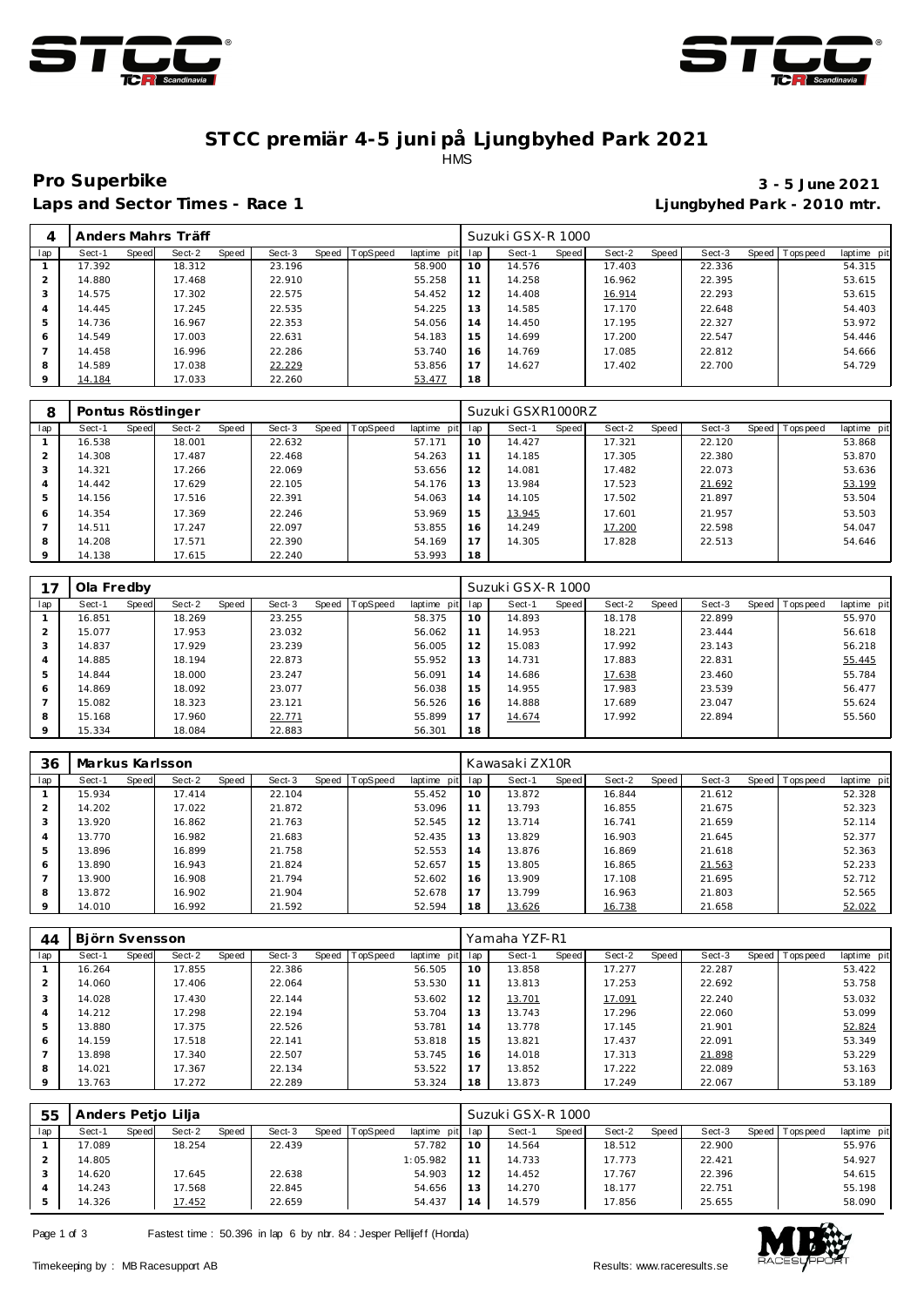



### **ST CC premiär 4-5 juni på Ljungbyhed Park 2021** HMS

**Laps and Sector Times - Race 1 Ljungbyhed Park - 2010 mtr.**

# **Pro Superbike 3 - 5 June 2021**

|                |        |       | Anders Mahrs Träff |       |        |       |                 |             |     | Suzuki GSX-R 1000 |       |        |       |        |                |             |
|----------------|--------|-------|--------------------|-------|--------|-------|-----------------|-------------|-----|-------------------|-------|--------|-------|--------|----------------|-------------|
| lap            | Sect-1 | Speed | Sect-2             | Speed | Sect-3 | Speed | <b>TopSpeed</b> | laptime pit | lap | Sect-1            | Speed | Sect-2 | Speed | Sect-3 | Speed Topspeed | laptime pit |
|                | 17.392 |       | 18.312             |       | 23.196 |       |                 | 58.900      | 10  | 14.576            |       | 17.403 |       | 22.336 |                | 54.315      |
| $\overline{2}$ | 14.880 |       | 17.468             |       | 22.910 |       |                 | 55.258      | 11  | 14.258            |       | 16.962 |       | 22.395 |                | 53.615      |
| 3              | 14.575 |       | 17.302             |       | 22.575 |       |                 | 54.452      | 12  | 14.408            |       | 16.914 |       | 22.293 |                | 53.615      |
| 4              | 14.445 |       | 17.245             |       | 22.535 |       |                 | 54.225      | 13  | 14.585            |       | 17.170 |       | 22.648 |                | 54.403      |
| 5              | 14.736 |       | 16.967             |       | 22.353 |       |                 | 54.056      | 14  | 14.450            |       | 17.195 |       | 22.327 |                | 53.972      |
| 6              | 14.549 |       | 17.003             |       | 22.631 |       |                 | 54.183      | 15  | 14.699            |       | 17.200 |       | 22.547 |                | 54.446      |
|                | 14.458 |       | 16.996             |       | 22.286 |       |                 | 53.740      | 16  | 14.769            |       | 17.085 |       | 22.812 |                | 54.666      |
| 8              | 14.589 |       | 17.038             |       | 22.229 |       |                 | 53.856      |     | 14.627            |       | 17.402 |       | 22.700 |                | 54.729      |
| $\circ$        | 14.184 |       | 17.033             |       | 22.260 |       |                 | 53.477      | 18  |                   |       |        |       |        |                |             |

| 8       |        |       | Pontus Röstlinger |       |        |       |          |             |     | Suzuki GSXR1000RZ |       |        |       |        |                |             |
|---------|--------|-------|-------------------|-------|--------|-------|----------|-------------|-----|-------------------|-------|--------|-------|--------|----------------|-------------|
| lap     | Sect-1 | Speed | Sect-2            | Speed | Sect-3 | Speed | TopSpeed | laptime pit | lap | Sect-1            | Speed | Sect-2 | Speed | Sect-3 | Speed Topspeed | laptime pit |
|         | 16.538 |       | 18.001            |       | 22.632 |       |          | 57.171      | 10  | 14.427            |       | 17.321 |       | 22.120 |                | 53.868      |
|         | 14.308 |       | 17.487            |       | 22.468 |       |          | 54.263      | 11  | 14.185            |       | 17.305 |       | 22.380 |                | 53.870      |
| 3       | 14.321 |       | 17.266            |       | 22.069 |       |          | 53.656      | 12  | 14.081            |       | 17.482 |       | 22.073 |                | 53.636      |
| 4       | 14.442 |       | 17.629            |       | 22.105 |       |          | 54.176      | 13  | 13.984            |       | 17.523 |       | 21.692 |                | 53.199      |
| 5       | 14.156 |       | 17.516            |       | 22.391 |       |          | 54.063      | 14  | 14.105            |       | 17.502 |       | 21.897 |                | 53.504      |
| 6       | 14.354 |       | 17.369            |       | 22.246 |       |          | 53.969      | 15  | 13.945            |       | 17.601 |       | 21.957 |                | 53.503      |
|         | 14.511 |       | 17.247            |       | 22.097 |       |          | 53.855      | 16  | 14.249            |       | 17.200 |       | 22.598 |                | 54.047      |
| 8       | 14.208 |       | 17.571            |       | 22.390 |       |          | 54.169      | 17  | 14.305            |       | 17.828 |       | 22.513 |                | 54.646      |
| $\circ$ | 14.138 |       | 17.615            |       | 22.240 |       |          | 53.993      | 18  |                   |       |        |       |        |                |             |

|                | Ola Fredby |       |        |       |        |       |                 |             |     | Suzuki GSX-R 1000 |       |        |       |        |                |             |
|----------------|------------|-------|--------|-------|--------|-------|-----------------|-------------|-----|-------------------|-------|--------|-------|--------|----------------|-------------|
| lap            | Sect-1     | Speed | Sect-2 | Speed | Sect-3 | Speed | <b>TopSpeed</b> | laptime pit | lap | Sect-1            | Speed | Sect-2 | Speed | Sect-3 | Speed Topspeed | laptime pit |
|                | 16.851     |       | 18.269 |       | 23.255 |       |                 | 58.375      | 10  | 14.893            |       | 18.178 |       | 22.899 |                | 55.970      |
|                | 15.077     |       | 17.953 |       | 23.032 |       |                 | 56.062      | 11  | 14.953            |       | 18.221 |       | 23.444 |                | 56.618      |
| 3              | 14.837     |       | 17.929 |       | 23.239 |       |                 | 56.005      | 12  | 15.083            |       | 17.992 |       | 23.143 |                | 56.218      |
| $\overline{4}$ | 14.885     |       | 18.194 |       | 22.873 |       |                 | 55.952      | 13  | 14.731            |       | 17.883 |       | 22.831 |                | 55.445      |
| 5              | 14.844     |       | 18.000 |       | 23.247 |       |                 | 56.091      | 14  | 14.686            |       | 17.638 |       | 23.460 |                | 55.784      |
| 6              | 14.869     |       | 18.092 |       | 23.077 |       |                 | 56.038      | 15  | 14.955            |       | 17.983 |       | 23.539 |                | 56.477      |
|                | 15.082     |       | 18.323 |       | 23.121 |       |                 | 56.526      | 16  | 14.888            |       | 17.689 |       | 23.047 |                | 55.624      |
| 8              | 15.168     |       | 17.960 |       | 22.771 |       |                 | 55.899      | 17  | 14.674            |       | 17.992 |       | 22.894 |                | 55.560      |
| 9              | 15.334     |       | 18.084 |       | 22.883 |       |                 | 56.301      | 18  |                   |       |        |       |        |                |             |

| 36             | Markus Karlsson |       |        |       |        |       |          |                 |     | Kawasaki ZX10R |       |        |       |        |                |             |
|----------------|-----------------|-------|--------|-------|--------|-------|----------|-----------------|-----|----------------|-------|--------|-------|--------|----------------|-------------|
| lap            | Sect-1          | Speed | Sect-2 | Speed | Sect-3 | Speed | TopSpeed | laptime<br>pit, | lap | Sect-1         | Speed | Sect-2 | Speed | Sect-3 | Speed Topspeed | laptime pit |
|                | 15.934          |       | 17.414 |       | 22.104 |       |          | 55.452          | 10  | 13.872         |       | 16.844 |       | 21.612 |                | 52.328      |
|                | 14.202          |       | 17.022 |       | 21.872 |       |          | 53.096          |     | 13.793         |       | 16.855 |       | 21.675 |                | 52.323      |
| 3              | 13.920          |       | 16.862 |       | 21.763 |       |          | 52.545          | 12  | 13.714         |       | 16.741 |       | 21.659 |                | 52.114      |
| $\overline{4}$ | 13.770          |       | 16.982 |       | 21.683 |       |          | 52.435          | 13  | 13.829         |       | 16.903 |       | 21.645 |                | 52.377      |
| 5              | 13.896          |       | 16.899 |       | 21.758 |       |          | 52.553          | 14  | 13.876         |       | 16.869 |       | 21.618 |                | 52.363      |
| 6              | 13.890          |       | 16.943 |       | 21.824 |       |          | 52.657          | 15  | 13.805         |       | 16.865 |       | 21.563 |                | 52.233      |
|                | 13.900          |       | 16.908 |       | 21.794 |       |          | 52.602          | 16  | 13.909         |       | 17.108 |       | 21.695 |                | 52.712      |
| 8              | 13.872          |       | 16.902 |       | 21.904 |       |          | 52.678          | 17  | 13.799         |       | 16.963 |       | 21.803 |                | 52.565      |
| $\circ$        | 14.010          |       | 16.992 |       | 21.592 |       |          | 52.594          | 18  | 13.626         |       | 16.738 |       | 21.658 |                | 52.022      |

| 44  | Björn Svensson |       |        |       |        |           |                 |             |     | Yamaha YZF-R1 |       |        |       |        |                  |             |
|-----|----------------|-------|--------|-------|--------|-----------|-----------------|-------------|-----|---------------|-------|--------|-------|--------|------------------|-------------|
| lap | Sect-1         | Speed | Sect-2 | Speed | Sect-3 | Speed   T | <b>TopSpeed</b> | laptime pit | lap | Sect-1        | Speed | Sect-2 | Speed | Sect-3 | Speed   Topspeed | laptime pit |
|     | 16.264         |       | 17.855 |       | 22.386 |           |                 | 56.505      | 10  | 13.858        |       | 17.277 |       | 22.287 |                  | 53.422      |
|     | 14.060         |       | 17.406 |       | 22.064 |           |                 | 53.530      |     | 13.813        |       | 17.253 |       | 22.692 |                  | 53.758      |
|     | 14.028         |       | 17.430 |       | 22.144 |           |                 | 53.602      | 12  | 13.701        |       | 17.091 |       | 22.240 |                  | 53.032      |
|     | 14.212         |       | 17.298 |       | 22.194 |           |                 | 53.704      | 13  | 13.743        |       | 17.296 |       | 22.060 |                  | 53.099      |
|     | 13.880         |       | 17.375 |       | 22.526 |           |                 | 53.781      | 14  | 13.778        |       | 17.145 |       | 21.901 |                  | 52.824      |
| 6   | 14.159         |       | 17.518 |       | 22.141 |           |                 | 53.818      | 15  | 13.821        |       | 17.437 |       | 22.091 |                  | 53.349      |
|     | 13.898         |       | 17.340 |       | 22.507 |           |                 | 53.745      | 16  | 14.018        |       | 17.313 |       | 21.898 |                  | 53.229      |
| 8   | 14.021         |       | 17.367 |       | 22.134 |           |                 | 53.522      | 17  | 13.852        |       | 17.222 |       | 22.089 |                  | 53.163      |
|     | 13.763         |       | 17.272 |       | 22.289 |           |                 | 53.324      | 18  | 13.873        |       | 17.249 |       | 22.067 |                  | 53.189      |

| 55  | Anders Petjo Lilja |       |        |       |        |       |          |             |     | Suzuki GSX-R 1000 |              |        |       |        |       |             |             |
|-----|--------------------|-------|--------|-------|--------|-------|----------|-------------|-----|-------------------|--------------|--------|-------|--------|-------|-------------|-------------|
| lap | Sect-1             | Speed | Sect-2 | Speed | Sect-3 | Speed | TopSpeed | laptime pit | lap | Sect-1            | <b>Speed</b> | Sect-2 | Speed | Sect-3 | Speed | T ops pee d | laptime pit |
|     | 17.089             |       | 18.254 |       | 22.439 |       |          | 57.782      | 10  | 14.564            |              | 18.512 |       | 22.900 |       |             | 55.976      |
|     | 14.805             |       |        |       |        |       |          | 1:05.982    | 11  | 14.733            |              | 17.773 |       | 22.421 |       |             | 54.927      |
|     | 14.620             |       | 17.645 |       | 22.638 |       |          | 54.903      | 12  | 14.452            |              | 17.767 |       | 22.396 |       |             | 54.615      |
|     | 14.243             |       | 17.568 |       | 22.845 |       |          | 54.656      | 13  | 14.270            |              | 18.177 |       | 22.751 |       |             | 55.198      |
|     | 14.326             |       | 17.452 |       | 22.659 |       |          | 54.437      | 14  | 14.579            |              | 17.856 |       | 25.655 |       |             | 58.090      |

Page 1 of 3 Fastest time : 50.396 in lap 6 by nbr. 84 : Jesper Pellijeff (Honda)

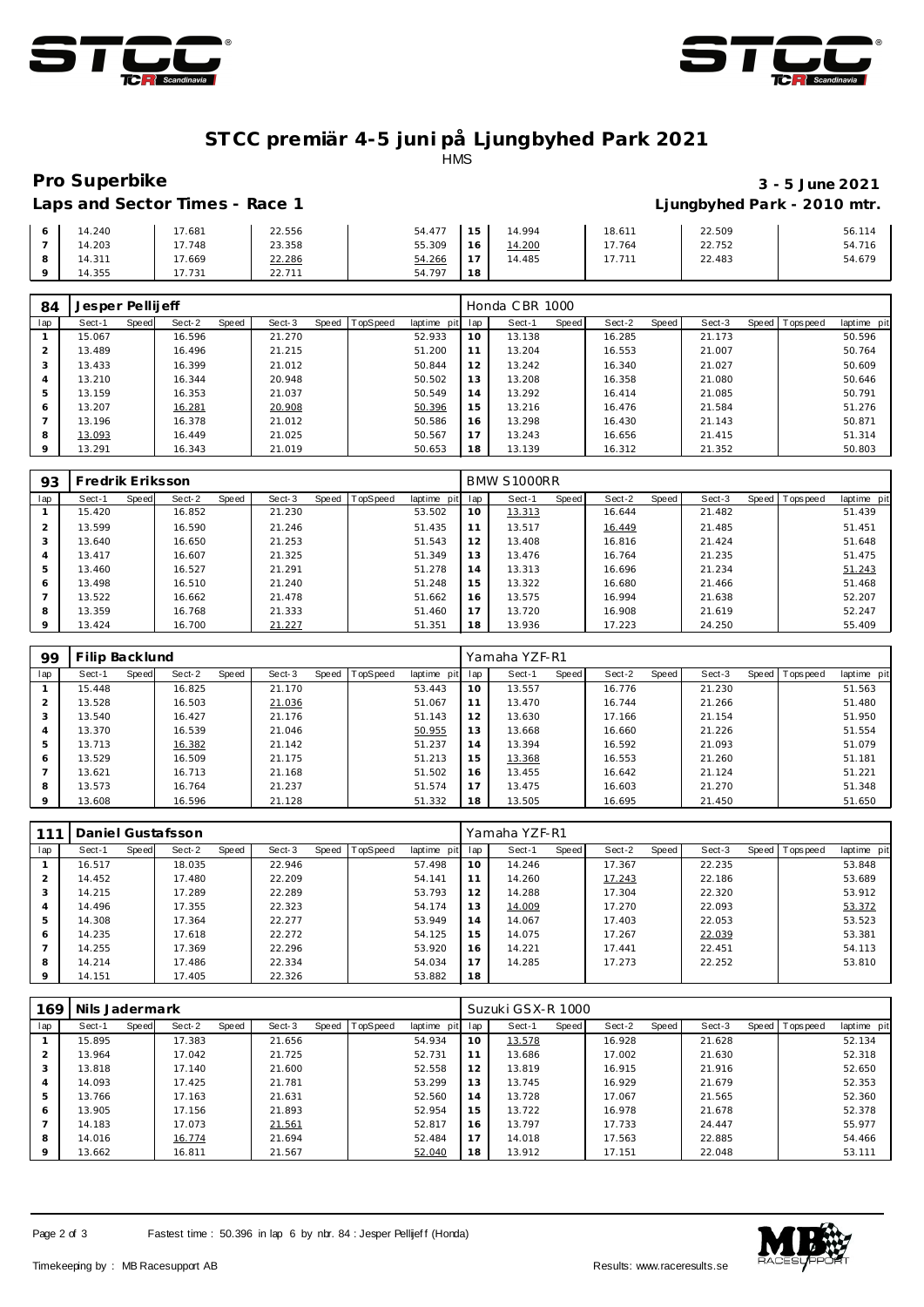



## **ST CC premiär 4-5 juni på Ljungbyhed Park 2021** HMS

# **Pro Superbike 3 - 5 June 2021 Laps and Sector Times - Race 1 Ljungbyhed Park - 2010 mtr.**

| Lans and Sector Times - Pace |  |
|------------------------------|--|

| 14.240 | 17.681 | 22.556 | 54.477 | 1 E      | 14.994 | 18.611 | 22.509 | 56.114 |
|--------|--------|--------|--------|----------|--------|--------|--------|--------|
| 14.203 | 17.748 | 23.358 | 55.309 | $16$ .   | 14.200 | 17.764 | 22.752 | 54.716 |
| 14.311 | 7.669  | 22.286 | 54.266 |          | 14.485 | 17.711 | 22.483 | 54.679 |
| 14.355 | 17.731 | 22.711 | 54.797 | 10<br>18 |        |        |        |        |

| 84             | Jesper Pellijeff |       |        |       |        |       |          |             |     | Honda CBR 1000 |       |        |       |        |              |           |             |
|----------------|------------------|-------|--------|-------|--------|-------|----------|-------------|-----|----------------|-------|--------|-------|--------|--------------|-----------|-------------|
| lap            | Sect-1           | Speed | Sect-2 | Speed | Sect-3 | Speed | TopSpeed | laptime pit | lap | Sect-1         | Speed | Sect-2 | Speed | Sect-3 | <b>Speed</b> | Tops peed | laptime pit |
|                | 15.067           |       | 16.596 |       | 21.270 |       |          | 52.933      | 10  | 13.138         |       | 16.285 |       | 21.173 |              |           | 50.596      |
| $\overline{2}$ | 13.489           |       | 16.496 |       | 21.215 |       |          | 51.200      | 11  | 13.204         |       | 16.553 |       | 21.007 |              |           | 50.764      |
| 3              | 13.433           |       | 16.399 |       | 21.012 |       |          | 50.844      | 12  | 13.242         |       | 16.340 |       | 21.027 |              |           | 50.609      |
| 4              | 13.210           |       | 16.344 |       | 20.948 |       |          | 50.502      | 13  | 13.208         |       | 16.358 |       | 21.080 |              |           | 50.646      |
| 5              | 13.159           |       | 16.353 |       | 21.037 |       |          | 50.549      | 14  | 13.292         |       | 16.414 |       | 21.085 |              |           | 50.791      |
| 6              | 13.207           |       | 16.281 |       | 20.908 |       |          | 50.396      | 15  | 13.216         |       | 16.476 |       | 21.584 |              |           | 51.276      |
|                | 13.196           |       | 16.378 |       | 21.012 |       |          | 50.586      | 16  | 13.298         |       | 16.430 |       | 21.143 |              |           | 50.871      |
| 8              | 13.093           |       | 16.449 |       | 21.025 |       |          | 50.567      | 17  | 13.243         |       | 16.656 |       | 21.415 |              |           | 51.314      |
| $\circ$        | 13.291           |       | 16.343 |       | 21.019 |       |          | 50.653      | 18  | 13.139         |       | 16.312 |       | 21.352 |              |           | 50.803      |

| 93      | Fredrik Eriksson |       |        |       |        |       |          |             |     | BMW S1000RR |       |        |       |        |         |                 |             |
|---------|------------------|-------|--------|-------|--------|-------|----------|-------------|-----|-------------|-------|--------|-------|--------|---------|-----------------|-------------|
| lap     | Sect-1           | Speed | Sect-2 | Speed | Sect-3 | Speed | TopSpeed | laptime pit | lap | Sect-1      | Speed | Sect-2 | Speed | Sect-3 | Speed I | <b>Topspeed</b> | laptime pit |
|         | 15.420           |       | 16.852 |       | 21.230 |       |          | 53.502      | 10  | 13.313      |       | 16.644 |       | 21.482 |         |                 | 51.439      |
|         | 13.599           |       | 16.590 |       | 21.246 |       |          | 51.435      | 11  | 13.517      |       | 16.449 |       | 21.485 |         |                 | 51.451      |
| $\cdot$ | 13.640           |       | 16.650 |       | 21.253 |       |          | 51.543      | 12  | 13.408      |       | 16.816 |       | 21.424 |         |                 | 51.648      |
|         | 13.417           |       | 16.607 |       | 21.325 |       |          | 51.349      | 13  | 13.476      |       | 16.764 |       | 21.235 |         |                 | 51.475      |
|         | 13.460           |       | 16.527 |       | 21.291 |       |          | 51.278      | 14  | 13.313      |       | 16.696 |       | 21.234 |         |                 | 51.243      |
| 6       | 13.498           |       | 16.510 |       | 21.240 |       |          | 51.248      | 15  | 13.322      |       | 16.680 |       | 21.466 |         |                 | 51.468      |
|         | 13.522           |       | 16.662 |       | 21.478 |       |          | 51.662      | 16  | 13.575      |       | 16.994 |       | 21.638 |         |                 | 52.207      |
| 8       | 13.359           |       | 16.768 |       | 21.333 |       |          | 51.460      | 17  | 13.720      |       | 16.908 |       | 21.619 |         |                 | 52.247      |
| $\circ$ | 13.424           |       | 16.700 |       | 21.227 |       |          | 51.351      | 18  | 13.936      |       | 17.223 |       | 24.250 |         |                 | 55.409      |

| 99             | Filip Backlund |       |        |       |        |       |          |             |     | Yamaha YZF-R1 |       |        |       |        |       |           |             |
|----------------|----------------|-------|--------|-------|--------|-------|----------|-------------|-----|---------------|-------|--------|-------|--------|-------|-----------|-------------|
| lap            | Sect-1         | Speed | Sect-2 | Speed | Sect-3 | Speed | TopSpeed | laptime pit | lap | Sect-1        | Speed | Sect-2 | Speed | Sect-3 | Speed | Tops peed | laptime pit |
|                | 15.448         |       | 16.825 |       | 21.170 |       |          | 53.443      | 10  | 13.557        |       | 16.776 |       | 21.230 |       |           | 51.563      |
|                | 13.528         |       | 16.503 |       | 21.036 |       |          | 51.067      | 11  | 13.470        |       | 16.744 |       | 21.266 |       |           | 51.480      |
| 3              | 13.540         |       | 16.427 |       | 21.176 |       |          | 51.143      | 12  | 13.630        |       | 17.166 |       | 21.154 |       |           | 51.950      |
| $\overline{4}$ | 13.370         |       | 16.539 |       | 21.046 |       |          | 50.955      | 13  | 13.668        |       | 16.660 |       | 21.226 |       |           | 51.554      |
| 5              | 13.713         |       | 16.382 |       | 21.142 |       |          | 51.237      | 14  | 13.394        |       | 16.592 |       | 21.093 |       |           | 51.079      |
| 6              | 13.529         |       | 16.509 |       | 21.175 |       |          | 51.213      | 15  | 13.368        |       | 16.553 |       | 21.260 |       |           | 51.181      |
|                | 13.621         |       | 16.713 |       | 21.168 |       |          | 51.502      | 16  | 13.455        |       | 16.642 |       | 21.124 |       |           | 51.221      |
| 8              | 13.573         |       | 16.764 |       | 21.237 |       |          | 51.574      | 17  | 13.475        |       | 16.603 |       | 21.270 |       |           | 51.348      |
| 9              | 13.608         |       | 16.596 |       | 21.128 |       |          | 51.332      | 18  | 13.505        |       | 16.695 |       | 21.450 |       |           | 51.650      |

| 111     |        |       | Daniel Gustafsson |       |        |       |                 |             |     | Yamaha YZF-R1 |       |        |       |        |                |             |
|---------|--------|-------|-------------------|-------|--------|-------|-----------------|-------------|-----|---------------|-------|--------|-------|--------|----------------|-------------|
| lap     | Sect-1 | Speed | Sect-2            | Speed | Sect-3 | Speed | <b>TopSpeed</b> | laptime pit | lap | Sect-1        | Speed | Sect-2 | Speed | Sect-3 | Speed Topspeed | laptime pit |
|         | 16.517 |       | 18.035            |       | 22.946 |       |                 | 57.498      | 10  | 14.246        |       | 17.367 |       | 22.235 |                | 53.848      |
|         | 14.452 |       | 17.480            |       | 22.209 |       |                 | 54.141      |     | 14.260        |       | 17.243 |       | 22.186 |                | 53.689      |
|         | 14.215 |       | 17.289            |       | 22.289 |       |                 | 53.793      | 12  | 14.288        |       | 17.304 |       | 22.320 |                | 53.912      |
| 4       | 14.496 |       | 17.355            |       | 22.323 |       |                 | 54.174      | 13  | 14.009        |       | 17.270 |       | 22.093 |                | 53.372      |
|         | 14.308 |       | 17.364            |       | 22.277 |       |                 | 53.949      | 14  | 14.067        |       | 17.403 |       | 22.053 |                | 53.523      |
| 6       | 14.235 |       | 17.618            |       | 22.272 |       |                 | 54.125      | 15  | 14.075        |       | 17.267 |       | 22.039 |                | 53.381      |
|         | 14.255 |       | 17.369            |       | 22.296 |       |                 | 53.920      | 16  | 14.221        |       | 17.441 |       | 22.451 |                | 54.113      |
| 8       | 14.214 |       | 17.486            |       | 22.334 |       |                 | 54.034      | 17  | 14.285        |       | 17.273 |       | 22.252 |                | 53.810      |
| $\circ$ | 14.151 |       | 17.405            |       | 22.326 |       |                 | 53.882      | 18  |               |       |        |       |        |                |             |

|                | Nils Jadermark<br>169 |       |        |       |        |       |          |             |     | Suzuki GSX-R 1000 |       |        |       |        |       |          |             |  |  |
|----------------|-----------------------|-------|--------|-------|--------|-------|----------|-------------|-----|-------------------|-------|--------|-------|--------|-------|----------|-------------|--|--|
| lap            | Sect-1                | Speed | Sect-2 | Speed | Sect-3 | Speed | TopSpeed | laptime pit | lap | Sect-1            | Speed | Sect-2 | Speed | Sect-3 | Speed | Topspeed | laptime pit |  |  |
|                | 15.895                |       | 17.383 |       | 21.656 |       |          | 54.934      | 10  | 13.578            |       | 16.928 |       | 21.628 |       |          | 52.134      |  |  |
| $\overline{2}$ | 13.964                |       | 17.042 |       | 21.725 |       |          | 52.731      | 11  | 13.686            |       | 17.002 |       | 21.630 |       |          | 52.318      |  |  |
| 3              | 13.818                |       | 17.140 |       | 21.600 |       |          | 52.558      | 12  | 13.819            |       | 16.915 |       | 21.916 |       |          | 52.650      |  |  |
| 4              | 14.093                |       | 17.425 |       | 21.781 |       |          | 53.299      | 13  | 13.745            |       | 16.929 |       | 21.679 |       |          | 52.353      |  |  |
| 5              | 13.766                |       | 17.163 |       | 21.631 |       |          | 52.560      | 14  | 13.728            |       | 17.067 |       | 21.565 |       |          | 52.360      |  |  |
| 6              | 13.905                |       | 17.156 |       | 21.893 |       |          | 52.954      | 15  | 13.722            |       | 16.978 |       | 21.678 |       |          | 52.378      |  |  |
|                | 14.183                |       | 17.073 |       | 21.561 |       |          | 52.817      | 16  | 13.797            |       | 17.733 |       | 24.447 |       |          | 55.977      |  |  |
| 8              | 14.016                |       | 16.774 |       | 21.694 |       |          | 52.484      | 17  | 14.018            |       | 17.563 |       | 22.885 |       |          | 54.466      |  |  |
| 9              | 13.662                |       | 16.811 |       | 21.567 |       |          | 52.040      | 18  | 13.912            |       | 17.151 |       | 22.048 |       |          | 53.111      |  |  |